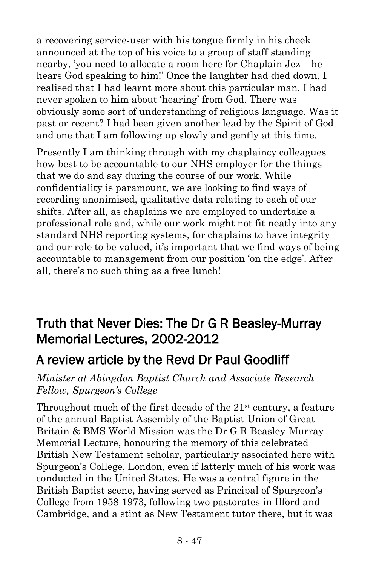a recovering service-user with his tongue firmly in his cheek announced at the top of his voice to a group of staff standing nearby, 'you need to allocate a room here for Chaplain Jez – he hears God speaking to him!' Once the laughter had died down, I realised that I had learnt more about this particular man. I had never spoken to him about 'hearing' from God. There was obviously some sort of understanding of religious language. Was it past or recent? I had been given another lead by the Spirit of God and one that I am following up slowly and gently at this time.

Presently I am thinking through with my chaplaincy colleagues how best to be accountable to our NHS employer for the things that we do and say during the course of our work. While confidentiality is paramount, we are looking to find ways of recording anonimised, qualitative data relating to each of our shifts. After all, as chaplains we are employed to undertake a professional role and, while our work might not fit neatly into any standard NHS reporting systems, for chaplains to have integrity and our role to be valued, it's important that we find ways of being accountable to management from our position 'on the edge'. After all, there's no such thing as a free lunch!

## Truth that Never Dies: The Dr G R Beasley-Murray Memorial Lectures, 2002-2012

## A review article by the Revd Dr Paul Goodliff

## *Minister at Abingdon Baptist Church and Associate Research Fellow, Spurgeon's College*

Throughout much of the first decade of the  $21<sup>st</sup>$  century, a feature of the annual Baptist Assembly of the Baptist Union of Great Britain & BMS World Mission was the Dr G R Beasley-Murray Memorial Lecture, honouring the memory of this celebrated British New Testament scholar, particularly associated here with Spurgeon's College, London, even if latterly much of his work was conducted in the United States. He was a central figure in the British Baptist scene, having served as Principal of Spurgeon's College from 1958-1973, following two pastorates in Ilford and Cambridge, and a stint as New Testament tutor there, but it was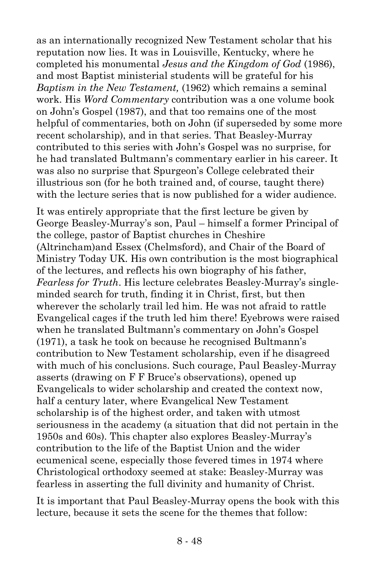as an internationally recognized New Testament scholar that his reputation now lies. It was in Louisville, Kentucky, where he completed his monumental *Jesus and the Kingdom of God* (1986), and most Baptist ministerial students will be grateful for his *Baptism in the New Testament,* (1962) which remains a seminal work. His *Word Commentary* contribution was a one volume book on John's Gospel (1987), and that too remains one of the most helpful of commentaries, both on John (if superseded by some more recent scholarship), and in that series. That Beasley-Murray contributed to this series with John's Gospel was no surprise, for he had translated Bultmann's commentary earlier in his career. It was also no surprise that Spurgeon's College celebrated their illustrious son (for he both trained and, of course, taught there) with the lecture series that is now published for a wider audience.

It was entirely appropriate that the first lecture be given by George Beasley-Murray's son, Paul – himself a former Principal of the college, pastor of Baptist churches in Cheshire (Altrincham)and Essex (Chelmsford), and Chair of the Board of Ministry Today UK. His own contribution is the most biographical of the lectures, and reflects his own biography of his father, *Fearless for Truth*. His lecture celebrates Beasley-Murray's singleminded search for truth, finding it in Christ, first, but then wherever the scholarly trail led him. He was not afraid to rattle Evangelical cages if the truth led him there! Eyebrows were raised when he translated Bultmann's commentary on John's Gospel (1971), a task he took on because he recognised Bultmann's contribution to New Testament scholarship, even if he disagreed with much of his conclusions. Such courage, Paul Beasley-Murray asserts (drawing on F F Bruce's observations), opened up Evangelicals to wider scholarship and created the context now, half a century later, where Evangelical New Testament scholarship is of the highest order, and taken with utmost seriousness in the academy (a situation that did not pertain in the 1950s and 60s). This chapter also explores Beasley-Murray's contribution to the life of the Baptist Union and the wider ecumenical scene, especially those fevered times in 1974 where Christological orthodoxy seemed at stake: Beasley-Murray was fearless in asserting the full divinity and humanity of Christ.

It is important that Paul Beasley-Murray opens the book with this lecture, because it sets the scene for the themes that follow: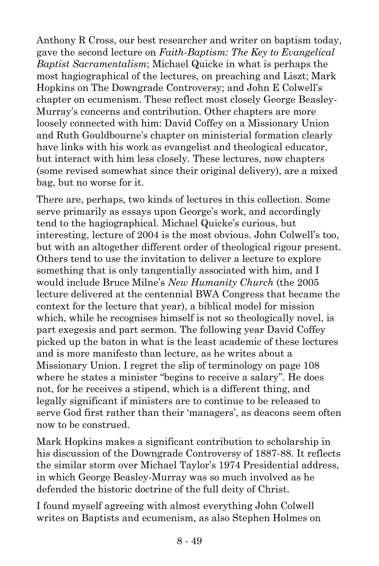Anthony R Cross, our best researcher and writer on baptism today, gave the second lecture on *Faith-Baptism: The Key to Evangelical Baptist Sacramentalism*; Michael Quicke in what is perhaps the most hagiographical of the lectures, on preaching and Liszt; Mark Hopkins on The Downgrade Controversy; and John E Colwell's chapter on ecumenism. These reflect most closely George Beasley-Murray's concerns and contribution. Other chapters are more loosely connected with him: David Coffey on a Missionary Union and Ruth Gouldbourne's chapter on ministerial formation clearly have links with his work as evangelist and theological educator, but interact with him less closely. These lectures, now chapters (some revised somewhat since their original delivery), are a mixed bag, but no worse for it.

There are, perhaps, two kinds of lectures in this collection. Some serve primarily as essays upon George's work, and accordingly tend to the hagiographical. Michael Quicke's curious, but interesting, lecture of 2004 is the most obvious. John Colwell's too, but with an altogether different order of theological rigour present. Others tend to use the invitation to deliver a lecture to explore something that is only tangentially associated with him, and I would include Bruce Milne's *New Humanity Church* (the 2005 lecture delivered at the centennial BWA Congress that became the context for the lecture that year), a biblical model for mission which, while he recognises himself is not so theologically novel, is part exegesis and part sermon. The following year David Coffey picked up the baton in what is the least academic of these lectures and is more manifesto than lecture, as he writes about a Missionary Union. I regret the slip of terminology on page 108 where he states a minister "begins to receive a salary". He does not, for he receives a stipend, which is a different thing, and legally significant if ministers are to continue to be released to serve God first rather than their 'managers', as deacons seem often now to be construed.

Mark Hopkins makes a significant contribution to scholarship in his discussion of the Downgrade Controversy of 1887-88. It reflects the similar storm over Michael Taylor's 1974 Presidential address, in which George Beasley-Murray was so much involved as he defended the historic doctrine of the full deity of Christ.

I found myself agreeing with almost everything John Colwell writes on Baptists and ecumenism, as also Stephen Holmes on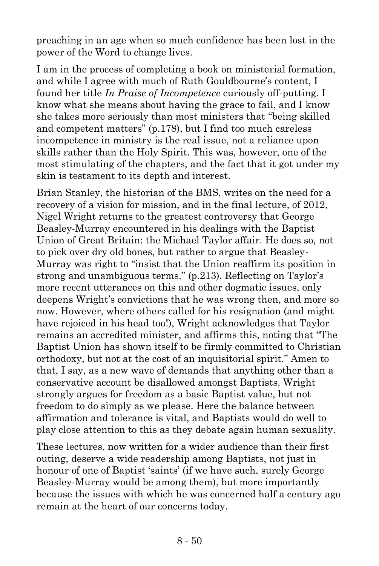preaching in an age when so much confidence has been lost in the power of the Word to change lives.

I am in the process of completing a book on ministerial formation, and while I agree with much of Ruth Gouldbourne's content, I found her title *In Praise of Incompetence* curiously off-putting. I know what she means about having the grace to fail, and I know she takes more seriously than most ministers that "being skilled and competent matters" (p.178), but I find too much careless incompetence in ministry is the real issue, not a reliance upon skills rather than the Holy Spirit. This was, however, one of the most stimulating of the chapters, and the fact that it got under my skin is testament to its depth and interest.

Brian Stanley, the historian of the BMS, writes on the need for a recovery of a vision for mission, and in the final lecture, of 2012, Nigel Wright returns to the greatest controversy that George Beasley-Murray encountered in his dealings with the Baptist Union of Great Britain: the Michael Taylor affair. He does so, not to pick over dry old bones, but rather to argue that Beasley-Murray was right to "insist that the Union reaffirm its position in strong and unambiguous terms." (p.213). Reflecting on Taylor's more recent utterances on this and other dogmatic issues, only deepens Wright's convictions that he was wrong then, and more so now. However, where others called for his resignation (and might have rejoiced in his head too!), Wright acknowledges that Taylor remains an accredited minister, and affirms this, noting that "The Baptist Union has shown itself to be firmly committed to Christian orthodoxy, but not at the cost of an inquisitorial spirit." Amen to that, I say, as a new wave of demands that anything other than a conservative account be disallowed amongst Baptists. Wright strongly argues for freedom as a basic Baptist value, but not freedom to do simply as we please. Here the balance between affirmation and tolerance is vital, and Baptists would do well to play close attention to this as they debate again human sexuality.

These lectures, now written for a wider audience than their first outing, deserve a wide readership among Baptists, not just in honour of one of Baptist 'saints' (if we have such, surely George Beasley-Murray would be among them), but more importantly because the issues with which he was concerned half a century ago remain at the heart of our concerns today.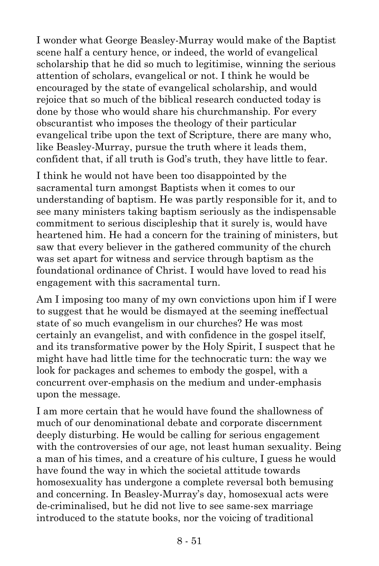I wonder what George Beasley-Murray would make of the Baptist scene half a century hence, or indeed, the world of evangelical scholarship that he did so much to legitimise, winning the serious attention of scholars, evangelical or not. I think he would be encouraged by the state of evangelical scholarship, and would rejoice that so much of the biblical research conducted today is done by those who would share his churchmanship. For every obscurantist who imposes the theology of their particular evangelical tribe upon the text of Scripture, there are many who, like Beasley-Murray, pursue the truth where it leads them, confident that, if all truth is God's truth, they have little to fear.

I think he would not have been too disappointed by the sacramental turn amongst Baptists when it comes to our understanding of baptism. He was partly responsible for it, and to see many ministers taking baptism seriously as the indispensable commitment to serious discipleship that it surely is, would have heartened him. He had a concern for the training of ministers, but saw that every believer in the gathered community of the church was set apart for witness and service through baptism as the foundational ordinance of Christ. I would have loved to read his engagement with this sacramental turn.

Am I imposing too many of my own convictions upon him if I were to suggest that he would be dismayed at the seeming ineffectual state of so much evangelism in our churches? He was most certainly an evangelist, and with confidence in the gospel itself, and its transformative power by the Holy Spirit, I suspect that he might have had little time for the technocratic turn: the way we look for packages and schemes to embody the gospel, with a concurrent over-emphasis on the medium and under-emphasis upon the message.

I am more certain that he would have found the shallowness of much of our denominational debate and corporate discernment deeply disturbing. He would be calling for serious engagement with the controversies of our age, not least human sexuality. Being a man of his times, and a creature of his culture, I guess he would have found the way in which the societal attitude towards homosexuality has undergone a complete reversal both bemusing and concerning. In Beasley-Murray's day, homosexual acts were de-criminalised, but he did not live to see same-sex marriage introduced to the statute books, nor the voicing of traditional